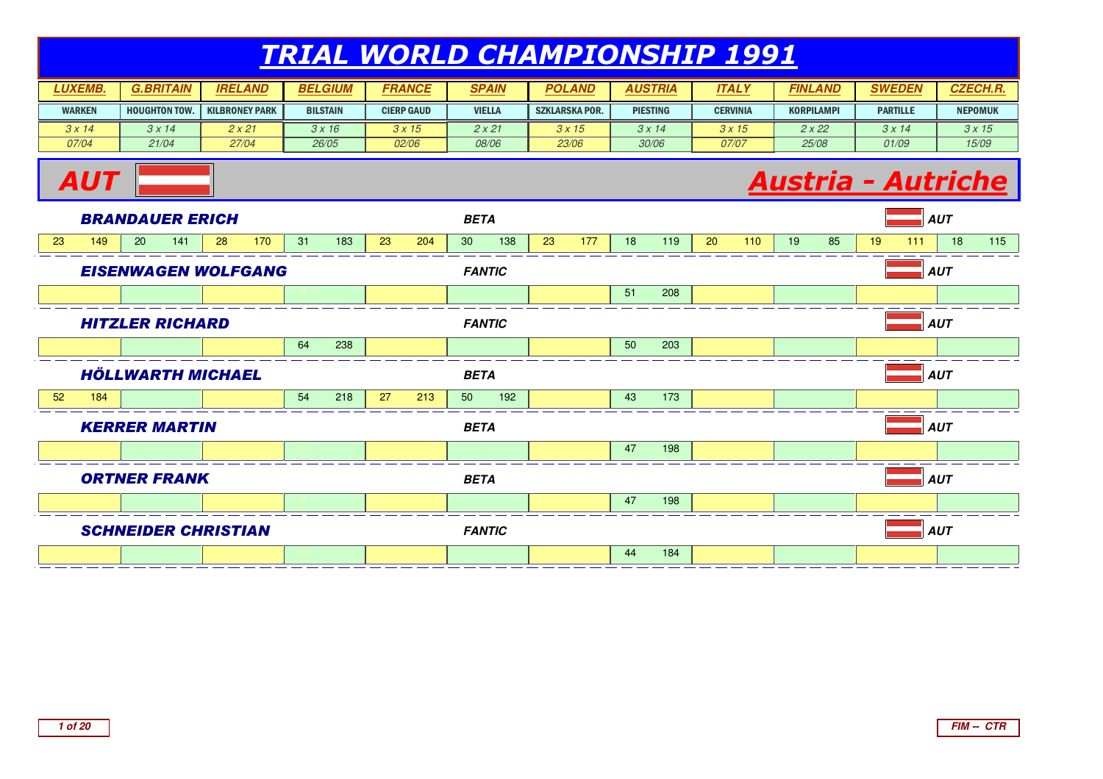#### TRIAL WORLD CHAMPIONSHIP 1991**LUXEMB. G.BRITAIN IRELAND BELGIUM FRANCE** WARKEN $3 \times 14$  07/04HOUGHTON TOW. KILBRONEY PARK BILSTAIN CIERP GAUD **SPAIN POLAND AUSTRIA ITALY FINLAND** VIELLASZKLARSKA POR. PIESTING CERVINIA KORPILAMPI  $3 \times 14$  21/04 $2 x 21$  27/04 $3 \times 16$  26/05 $3 \times 15$  02/06 $2 \times 21$  08/06 $3 \times 15$  23/06 $3 \times 14$  30/06 $3 \times 15$  07/07 $2 \times 22$  25/08**SWEDEN**PARTILLE $3 \times 14$  01/09**CZECH.R.**NEPOMUK $3 \times 15$  15/09AUTAustria - Autriche

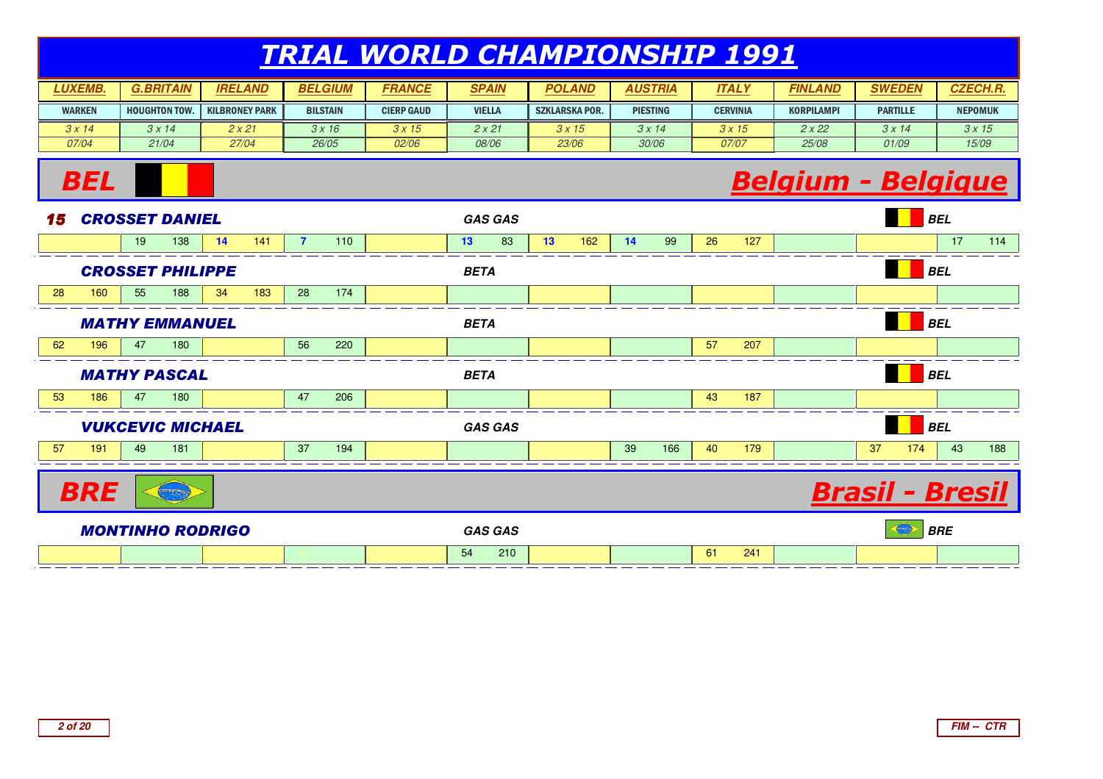| <b>UXEMB.</b> | <b>G.BRITAIN</b>     | <b>IRELAND</b>        | <b>BELGIUM</b>  | <b>FRANCE</b>     | <b>SPAIN</b>  | <b>POLAND</b>         | <b>AUSTRIA</b>  | <b>ITALY</b>    | <i><b>FINLAND</b></i> | <b>SWEDEN</b>   | <b>CZECH.R.</b> |
|---------------|----------------------|-----------------------|-----------------|-------------------|---------------|-----------------------|-----------------|-----------------|-----------------------|-----------------|-----------------|
| <b>WARKEN</b> | <b>HOUGHTON TOW.</b> | <b>KILBRONEY PARK</b> | <b>BILSTAIN</b> | <b>CIERP GAUD</b> | <b>VIELLA</b> | <b>SZKLARSKA POR.</b> | <b>PIESTING</b> | <b>CERVINIA</b> | KORPILAMPI            | <b>PARTILLE</b> | <b>NEPOMUK</b>  |
| 3 x 14.       | 3 x 14               | 2x21                  | 3 x 16          | 3x15              | 2 x 21        | 3 x 15                | 3 x 14          | 3 x 15          | 2 x 22                | 3 x 14          | 3x15            |
| 07/04         | 21/04                | 27/04                 | 26/05           | 02/06             | 08/06         | 23/06                 | 30/06           | 07/07           | 25/08                 | 01/09           | 15/09           |

### Belgium - Belgique



**BEL**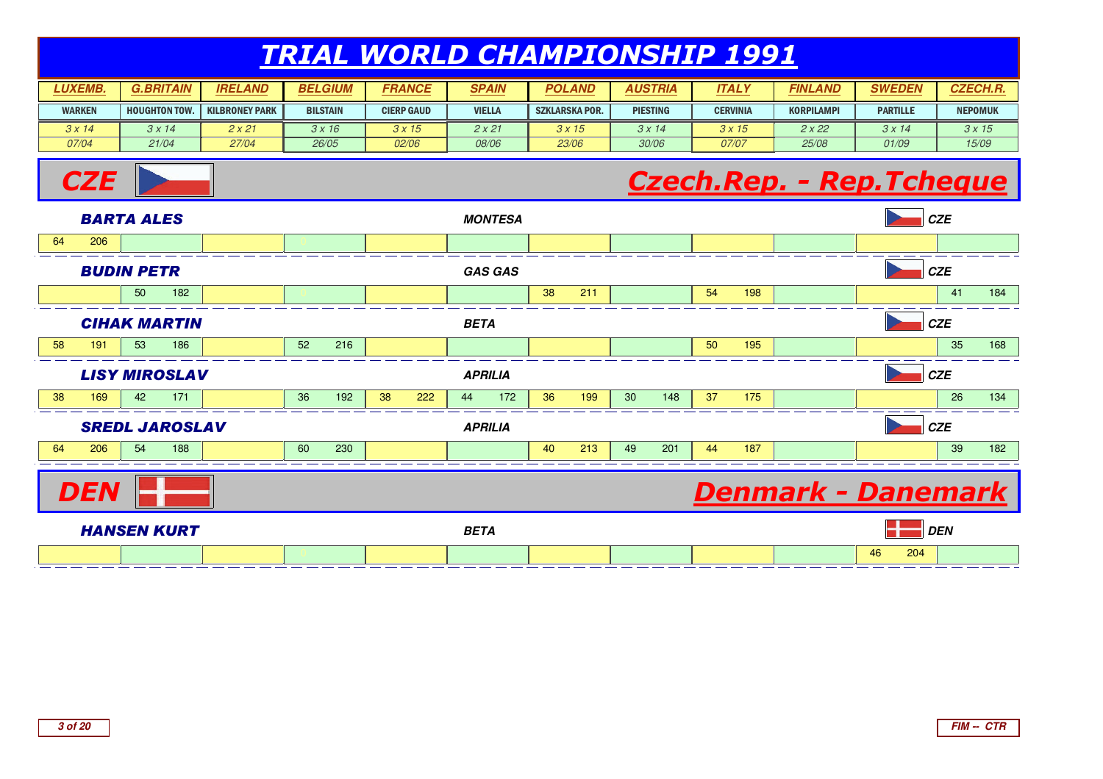| <b>.UXEMB.</b> | <b>G.BRITAIN</b>     | <b>IRELAND</b>        | <b>BELGIUM</b>  | FRANCE            | <b>SPAIN</b>  | <b>POLAND</b>         | AUSTRIA         | <b>ITALY</b>    | <i><b>FINLAND</b></i> | SWEDEN          | <b>CZECH.R.</b> |
|----------------|----------------------|-----------------------|-----------------|-------------------|---------------|-----------------------|-----------------|-----------------|-----------------------|-----------------|-----------------|
| <b>WARKEN</b>  | <b>HOUGHTON TOW.</b> | <b>KILBRONEY PARK</b> | <b>BILSTAIN</b> | <b>CIERP GAUD</b> | <b>VIELLA</b> | <b>SZKLARSKA POR.</b> | <b>PIESTING</b> | <b>CERVINIA</b> | <b>KORPILAMPI</b>     | <b>PARTILLE</b> | <b>NEPOMUK</b>  |
| 3 x 14         | $3 \times 14$        | 2x21                  | 3 x 16          | 3x15              | 2x21          | 3 x 15                | 3 x 14          | 3x15            | 2 x 22                | 3x14            | 3x15            |
| 07/04          | 21/04                | 27/04                 | 26/05           | 02/06             | 08/06         | 23/06                 | 30/06           | 07/07           | <i><b>25/08</b></i>   | 01/09           | 15/09           |

#### Czech.Rep. - Rep.Tcheque



**CZE**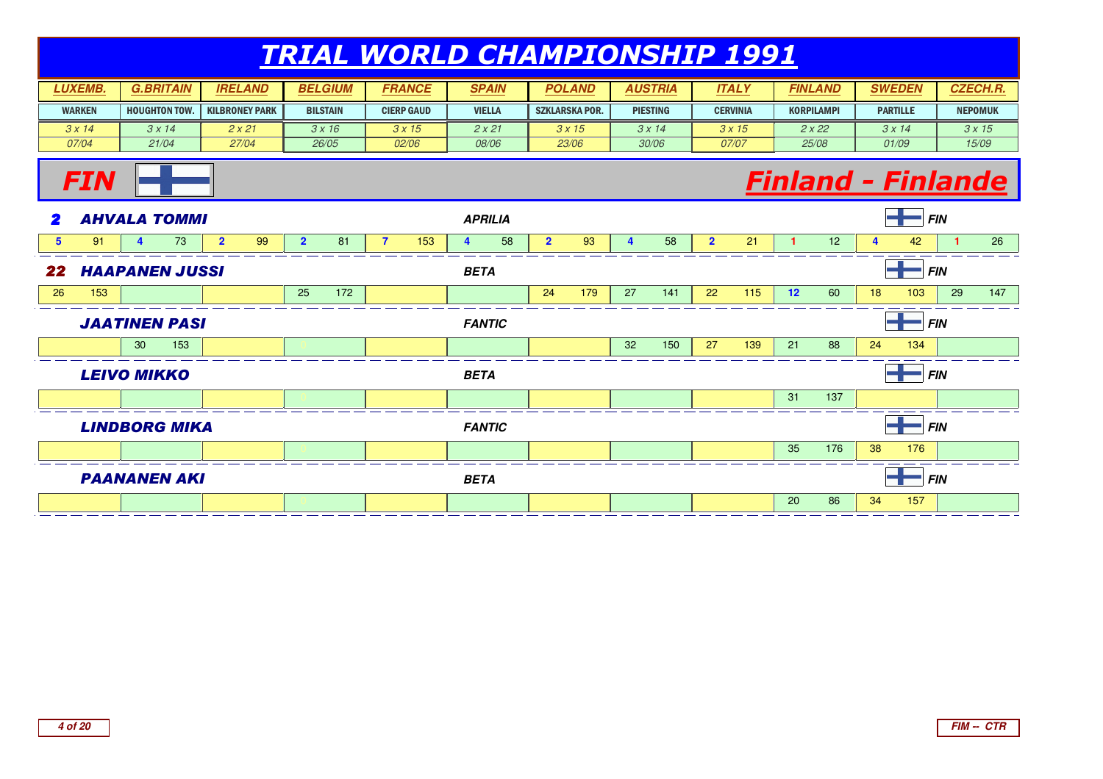| <b>.UXEMB.</b> | <b>G.BRITAIN</b>     | <b>AND</b><br>IREL    | <b>BELGIUM</b>  | <b>FRANCE</b>     | <b>SPAIN</b>  | <b>POLAND</b>         | <b>AUSTRIA</b>  | <b>ITALY</b>    | FINLAND             | SWEDEN          | <b>CZECH.R.</b> |
|----------------|----------------------|-----------------------|-----------------|-------------------|---------------|-----------------------|-----------------|-----------------|---------------------|-----------------|-----------------|
| <b>WARKEN</b>  | <b>HOUGHTON TOW.</b> | <b>KILBRONEY PARK</b> | <b>BILSTAIN</b> | <b>CIERP GAUD</b> | <b>VIELLA</b> | <b>SZKLARSKA POR.</b> | <b>PIESTING</b> | <b>CERVINIA</b> | <b>KORPILAMPI</b>   | <b>PARTILLE</b> | <b>NEPOMUK</b>  |
| 3 x 14         | 3x14                 | 2x21                  | 3 x 16          | 3x15              | 2x21          | 3 x 15                | 3 x 14          | 3 x 15          | 2x22                | 3x14            | 3x15            |
| <i>07/04</i>   | 21/04                | 27/04                 | 26/05           | 02/06             | 08/06         | 23/06                 | 30/06           | 07/07           | <i><b>25/08</b></i> | 01/09           | 15/09           |



**FIN**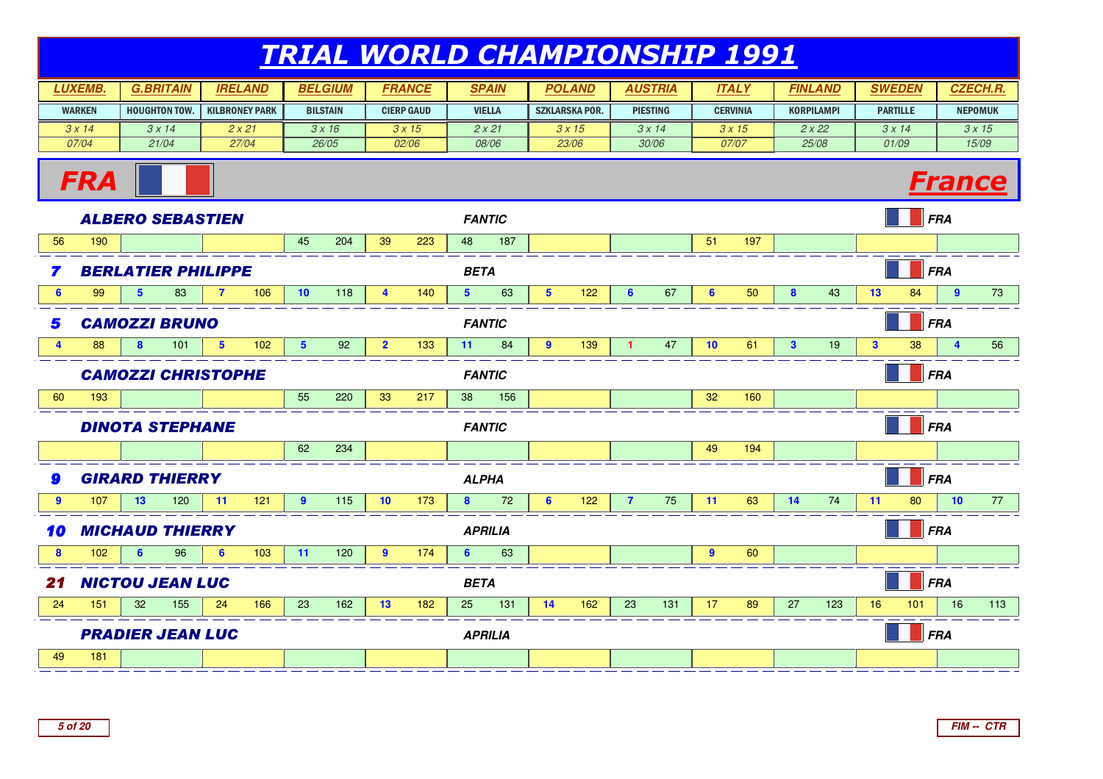| <b>LUXEMB.</b> | <b>G.BRITAIN</b>     | <b>IRELAND</b>        | <b>BELGIUM</b>  | <b>FRANCE</b>     | SPAIN         | <b>POLAND</b>         | <i><b>AUSTRIA</b></i> | <b>ITALY</b>    | FINLAND           | <b>SWEDEN</b>   | <b>CZECH.R.</b> |
|----------------|----------------------|-----------------------|-----------------|-------------------|---------------|-----------------------|-----------------------|-----------------|-------------------|-----------------|-----------------|
| <b>WARKEN</b>  | <b>HOUGHTON TOW.</b> | <b>KILBRONEY PARK</b> | <b>BILSTAIN</b> | <b>CIERP GAUD</b> | <b>VIELLA</b> | <b>SZKLARSKA POR.</b> | <b>PIESTING</b>       | <b>CERVINIA</b> | <b>KORPILAMPI</b> | <b>PARTILLE</b> | <b>NEPOMUK</b>  |
| 3 x 14         | $3 \times 14$        | 2 x 21                | 3 x 16          | 3x15              | 2x21          | 3 x 15                | 3x14                  | 3 x 15          | 2 x 22            | 3x14            | 3x15            |
| 07/04          | 21/04                | 27/04                 | 26/05           | 02/06             | <i>08/06</i>  | 23/06                 | 30/06                 | 07/07           | 25/08             | 01/09           | 15/09           |

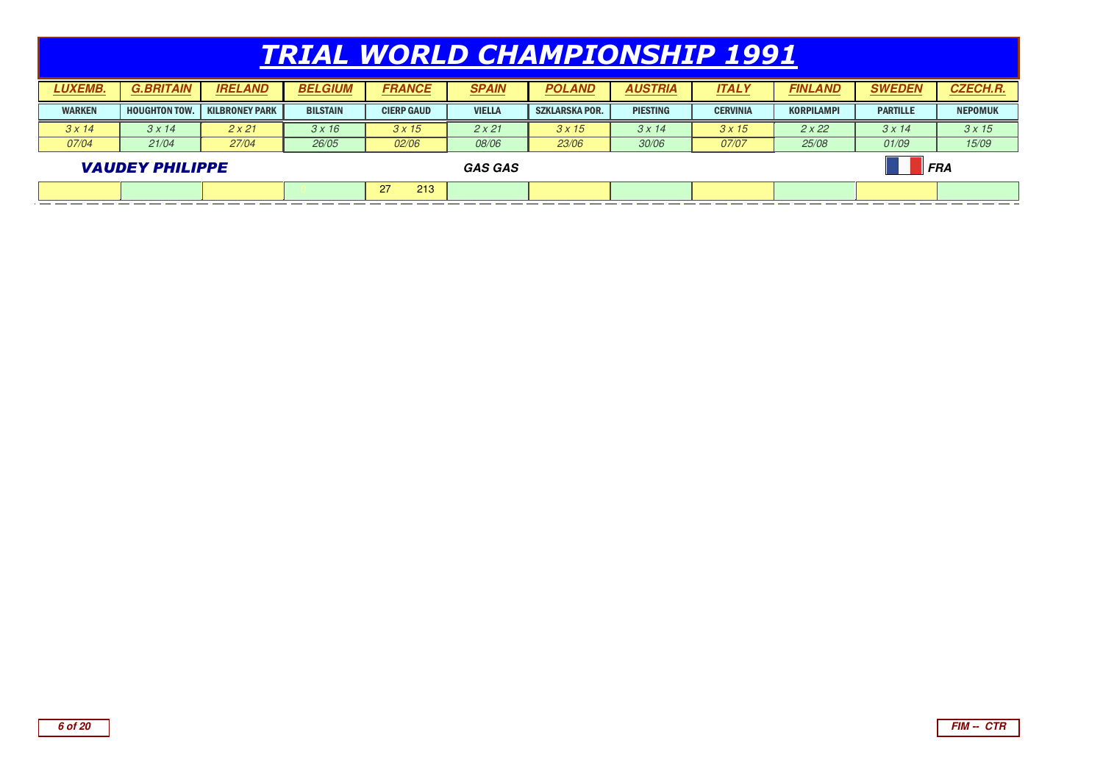|               |                               |                       |                 |                   |                | TRIAL WORLD CHAMPIONSHIP 1991 |                 |                 |                   |                 |                 |
|---------------|-------------------------------|-----------------------|-----------------|-------------------|----------------|-------------------------------|-----------------|-----------------|-------------------|-----------------|-----------------|
| LUXEMB.       | <b>G.BRITAIN</b>              | <b>IRELAND</b>        | <b>BELGIUM</b>  | <b>FRANCE</b>     | <b>SPAIN</b>   | <b>POLAND</b>                 | <b>AUSTRIA</b>  | <b>ITALY</b>    | <b>FINLAND</b>    | <b>SWEDEN</b>   | <b>CZECH.R.</b> |
| <b>WARKEN</b> | <b>HOUGHTON TOW.</b>          | <b>KILBRONEY PARK</b> | <b>BILSTAIN</b> | <b>CIERP GAUD</b> | <b>VIELLA</b>  | <b>SZKLARSKA POR.</b>         | <b>PIESTING</b> | <b>CERVINIA</b> | <b>KORPILAMPI</b> | <b>PARTILLE</b> | <b>NEPOMUK</b>  |
| 3x14          | 3x14                          | $2 \times 21$         | 3x16            | 3x15              | 2x21           | 3x15                          | 3x14            | $3 \times 15$   | 2x22              | 3x14            | 3x15            |
| 07/04         | 21/04                         | 27/04                 | 26/05           | 02/06             | 08/06          | 23/06                         | 30/06           | 07/07           | 25/08             | 01/09           | 15/09           |
|               | <i><b>VAUDEY PHILIPPE</b></i> |                       |                 |                   | <b>GAS GAS</b> |                               |                 |                 |                   |                 | <b>FRA</b>      |
|               |                               |                       |                 | 27<br>213         |                |                               |                 |                 |                   |                 |                 |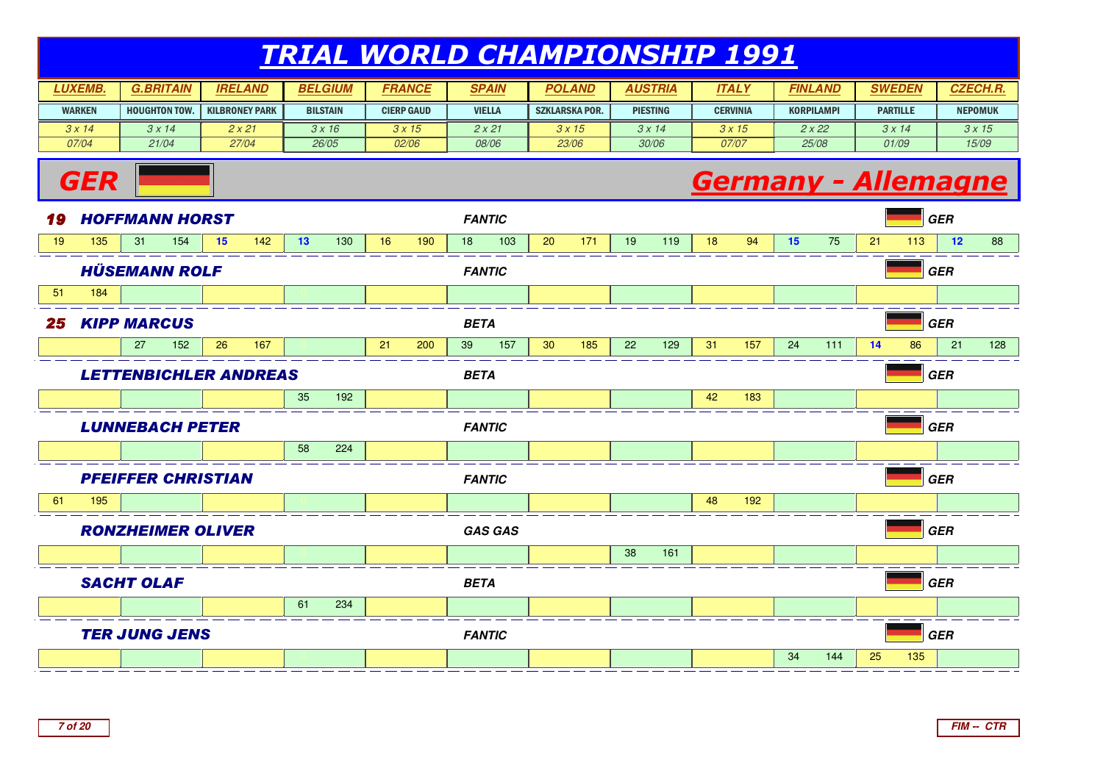| <b>.UXEMB.</b> | <b>G.BRITAIN</b>     | <b>IRELAND</b>        | <b>BELGIUM</b>  | <b>FRANCE</b>     | <b>SPAIN</b>  | <b>POLAND</b>  | <i><b>AUSTRIA</b></i> | <b>ITALY</b>    | FINLAND           | SWEDEN          | <b>CZECH.R.</b> |
|----------------|----------------------|-----------------------|-----------------|-------------------|---------------|----------------|-----------------------|-----------------|-------------------|-----------------|-----------------|
| <b>WARKEN</b>  | <b>HOUGHTON TOW.</b> | <b>KILBRONEY PARK</b> | <b>BILSTAIN</b> | <b>CIERP GAUD</b> | <b>VIELLA</b> | SZKLARSKA POR. | <b>PIESTING</b>       | <b>CERVINIA</b> | <b>KORPILAMPI</b> | <b>PARTILLE</b> | <b>NEPOMUK</b>  |
| 3 x 14/        | $3 \times 14$        | 2x21                  | 3 x 16          | 3x15              | 2x21          | 3 x 15         | 3 x 14                | 3 x 15          | 2 x 22            | 3x14            | 3x15            |
| <i>07/04</i>   | 21/04                | 27/04                 | 26/05           | 02/06             | 08/06         | 23/06          | 30/06                 | 07/07           | <i>25/08</i>      | 01/09           | 15/09           |

# Germany - Allemagne



**GER**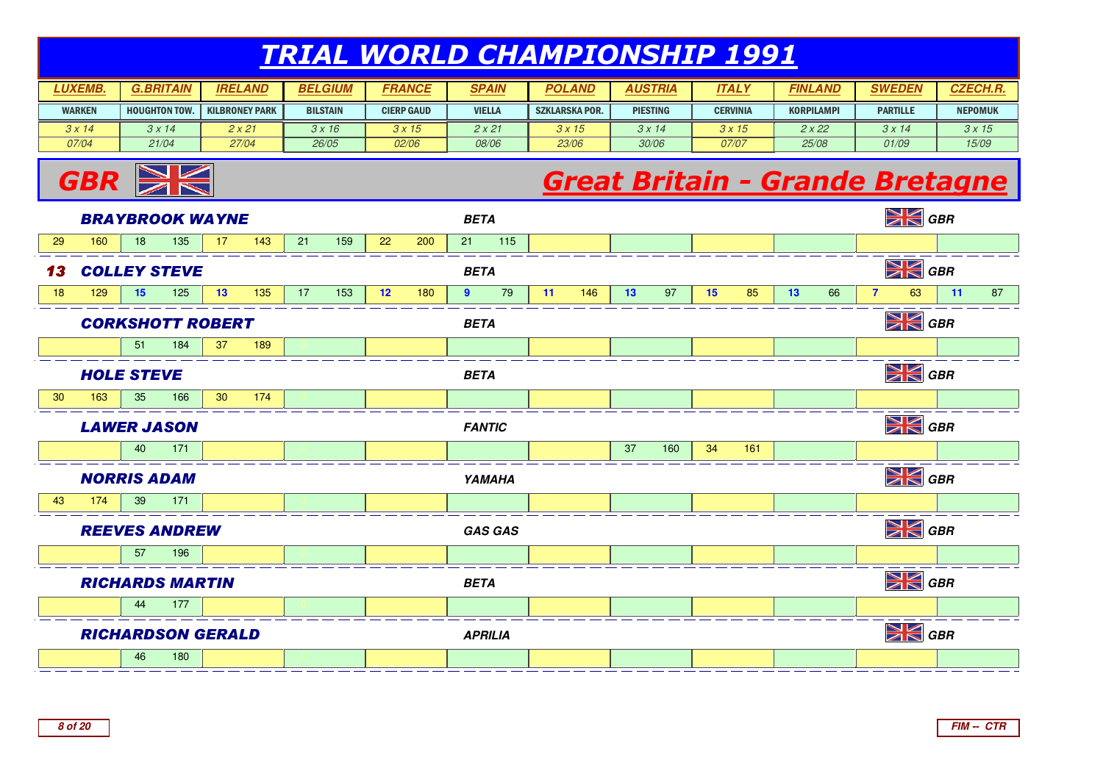| <i><b>LUXEMB.</b></i> | <b>G.BRITAIN</b>     | <b>IRELAND</b>        | <b>BELGIUM</b>  | FRANCE            | <b>SPAIN</b>  | <b>POLAND</b>         | AUSTRIA         | <b>ITALY</b>    | <b>FINLAND</b>      | SWEDEN          | <b>CZECH.R</b> |
|-----------------------|----------------------|-----------------------|-----------------|-------------------|---------------|-----------------------|-----------------|-----------------|---------------------|-----------------|----------------|
| <b>WARKEN</b>         | <b>HOUGHTON TOW.</b> | <b>KILBRONEY PARK</b> | <b>BILSTAIN</b> | <b>CIERP GAUD</b> | <b>VIELLA</b> | <b>SZKLARSKA POR.</b> | <b>PIESTING</b> | <b>CERVINIA</b> | <b>KORPILAMPI</b>   | <b>PARTILLE</b> | <b>NEPOMUK</b> |
| 3x14                  | $\frac{1}{2}$ x 14   | 2x21                  | 3x16            | 3x15              | 2 x 21        | 3 x 15                | 3 x 14          | 3 x 15          | 2 x 22              | 3 x 14          | 3x15           |
| 07/04                 | 21/04                | 27/04                 | 26/05           | 02/06             | 08/06         | 23/06                 | 30/06           | 07/07           | <i><b>25/08</b></i> | 01/09           | 15/09          |

# Great Britain - Grande Bretagne



**GBR**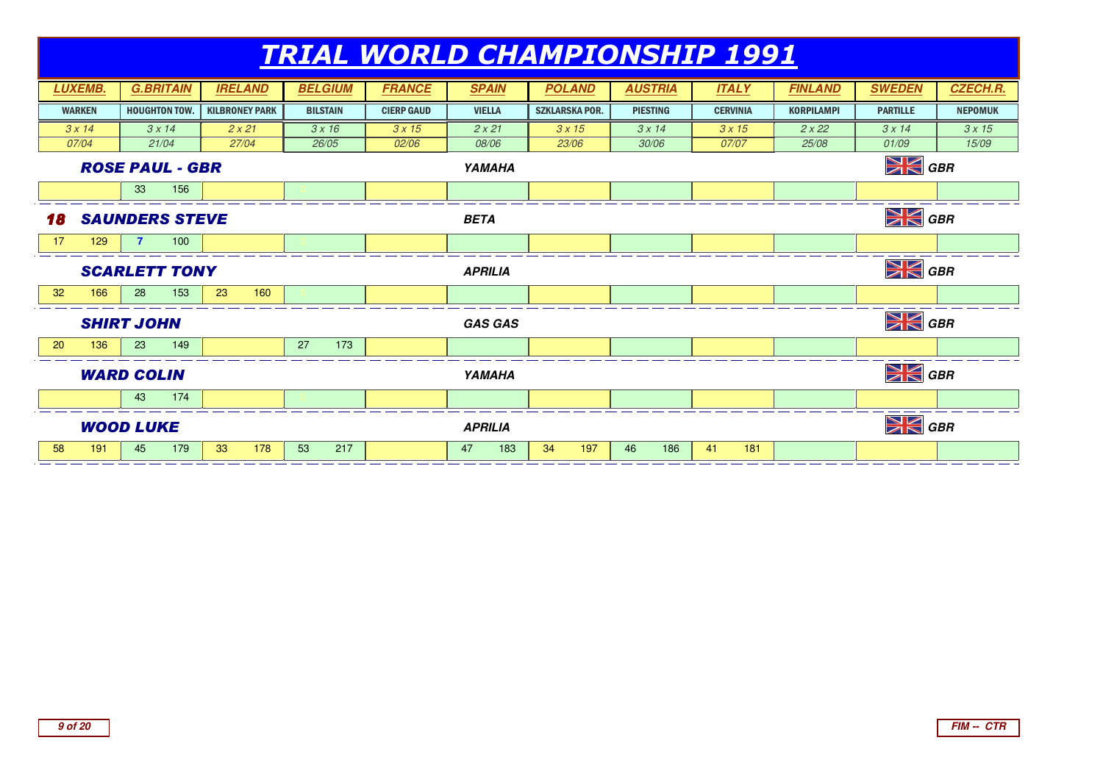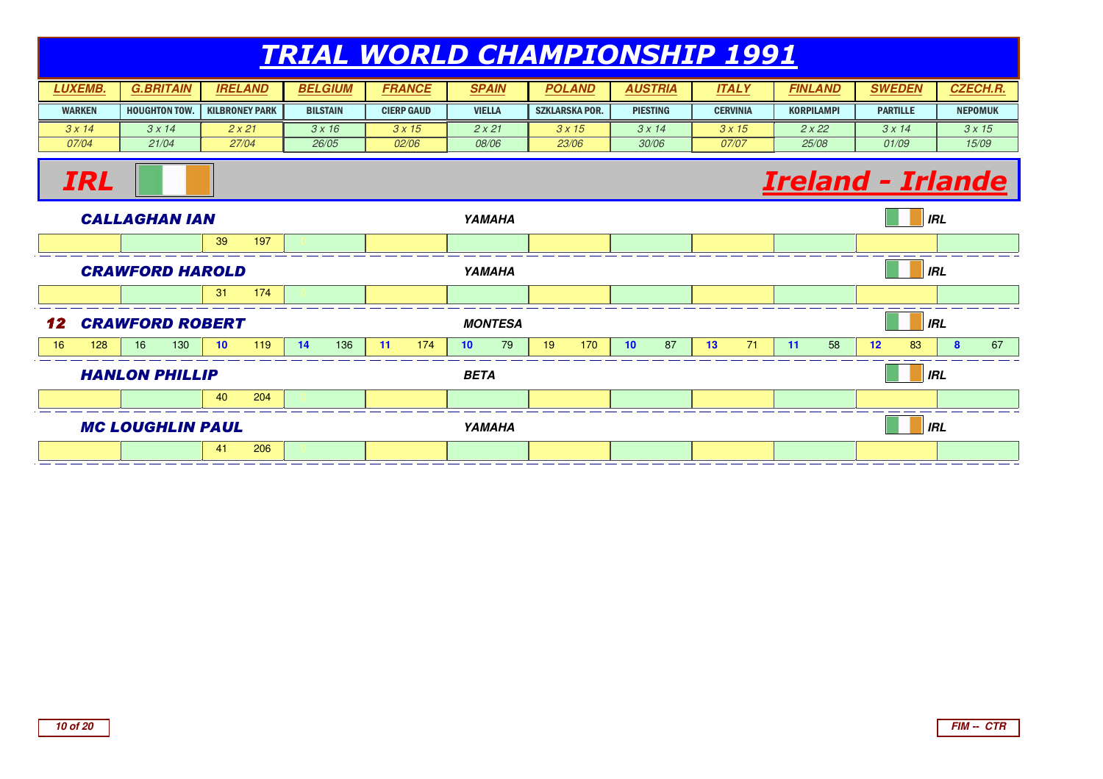#### TRIAL WORLD CHAMPIONSHIP 1991**LUXEMB. G.BRITAIN IRELAND BELGIUM FRANCE** WARKEN $3 \times 14$  07/04HOUGHTON TOW. KILBRONEY PARK BILSTAIN CIERP GAUD **SPAIN POLAND AUSTRIA ITALY FINLAND** VIELLASZKLARSKA POR. PIESTING CERVINIA KORPILAMPI  $3 \times 14$  21/04 $2 x 21$  27/04 $3 \times 16$  26/05 $3 \times 15$  02/06 $2 \times 21$  08/06 $3 \times 15$  23/06 $3 \times 14$  30/06 $3 \times 15$  07/07 $2 \times 22$  25/08**SWEDEN**PARTILLE $3 \times 14$  01/09**CZECH.R.**NEPOMUK $3 \times 15$  15/09IRL Ireland - IrlandeCALLAGHAN IAN **YAMAHA IRL** <sup>0</sup> <sup>39</sup> <sup>197</sup> <sup>0</sup> <sup>0</sup> <sup>0</sup> <sup>0</sup> <sup>0</sup> <sup>0</sup> <sup>0</sup> <sup>0</sup> <sup>0</sup> CRAWFORD HAROLD **YAMAHA IRL** <sup>0</sup> <sup>31</sup> <sup>174</sup> <sup>0</sup> <sup>0</sup> <sup>0</sup> <sup>0</sup> <sup>0</sup> <sup>0</sup> <sup>0</sup> <sup>0</sup> <sup>0</sup> 12 CRAWFORD ROBERT **MONTESA IRL** 16 <sup>128</sup> <sup>16</sup> <sup>130</sup> **<sup>10</sup>** <sup>119</sup> **<sup>14</sup>** <sup>136</sup> **<sup>11</sup>** <sup>174</sup> **<sup>10</sup>** <sup>79</sup> <sup>19</sup> <sup>170</sup> **<sup>10</sup>** <sup>87</sup> **<sup>13</sup>** <sup>71</sup> **<sup>11</sup>** <sup>58</sup> **<sup>12</sup>** <sup>83</sup> **<sup>8</sup>** <sup>67</sup> HANLON PHILLIP**BETA BETA IRL IRL IRL** 0 40 204 | 0 204 | 0 204 | 0 204 | 0 204 | 0 204 | 0 20 | 0 20 | 0 20 | 0 20 | 0 20 | 0 20 | 0 20 | 0 20 | 0 2 MC LOUGHLIN PAUL **YAMAHA IRL** 0 41 206 | 206 | 206 | 206 | 207 | 208 | 209 | 200 | 200 | 200 | 200 | 200 | 200 | 200 | 200 | 200 | 200 | 200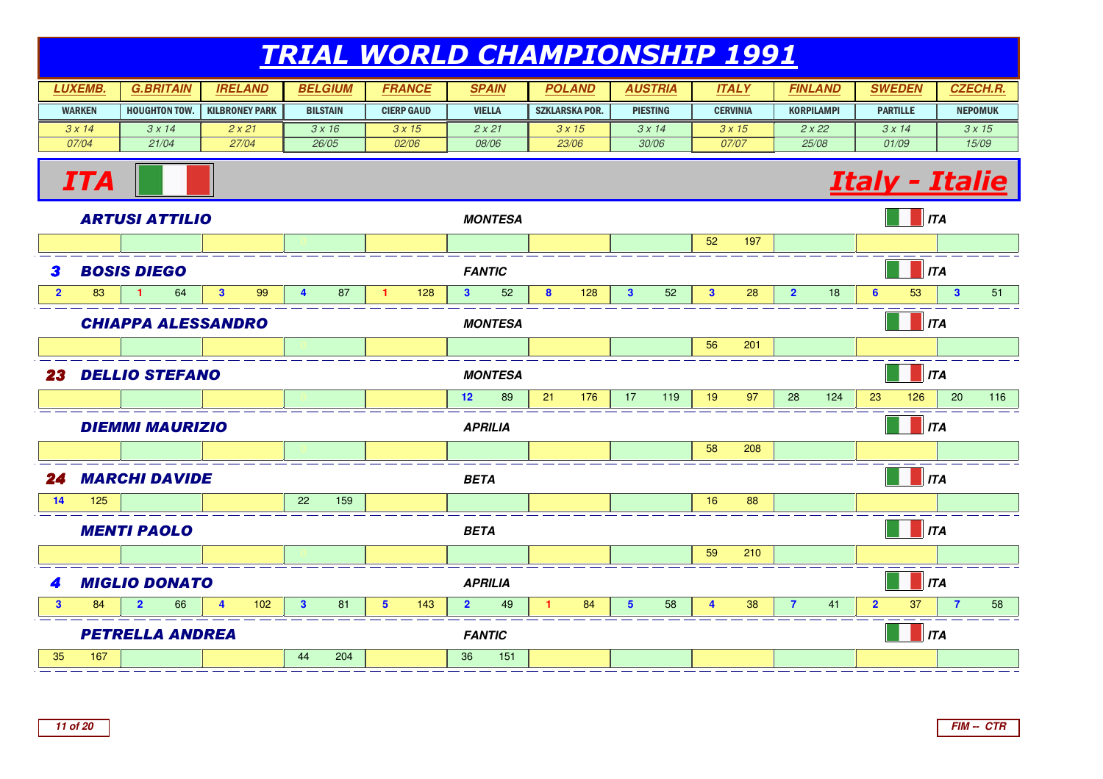| <i><b>LUXEMB.</b></i> | <b>G.BRITAIN</b>     | <b>IRELAND</b>        | <b>BELGIUM</b>  | FRANCE            | <b>SPAIN</b>  | <b>POLAND</b>         | <i><b>AUSTRIA</b></i> | ITALY           | FINLAND           | <i><b>SWEDEN</b></i> | <b>CZECH.R</b> |
|-----------------------|----------------------|-----------------------|-----------------|-------------------|---------------|-----------------------|-----------------------|-----------------|-------------------|----------------------|----------------|
| <b>WARKEN</b>         | <b>HOUGHTON TOW.</b> | <b>KILBRONEY PARK</b> | <b>BILSTAIN</b> | <b>CIERP GAUD</b> | <b>VIELLA</b> | <b>SZKLARSKA POR.</b> | <b>PIESTING</b>       | <b>CERVINIA</b> | <b>KORPILAMPI</b> | <b>PARTILLE</b>      | <b>NEPOMUK</b> |
| 3 x 14                | 3 x 14               | 2x21                  | 3 x 16          | 3x15              | 2x21          | 3x15                  | 3 x 14                | 3 x 15          | 2 x 22            | 3 x 14               | 3 x 15         |
| 07/04                 | 21/04                | 27/04                 | 26/05           | 02/06             | <i>08/06</i>  | 23/06                 | 30/06                 | 07/07           | 25/08             | 01/09                | 15/09          |



**11 of 20**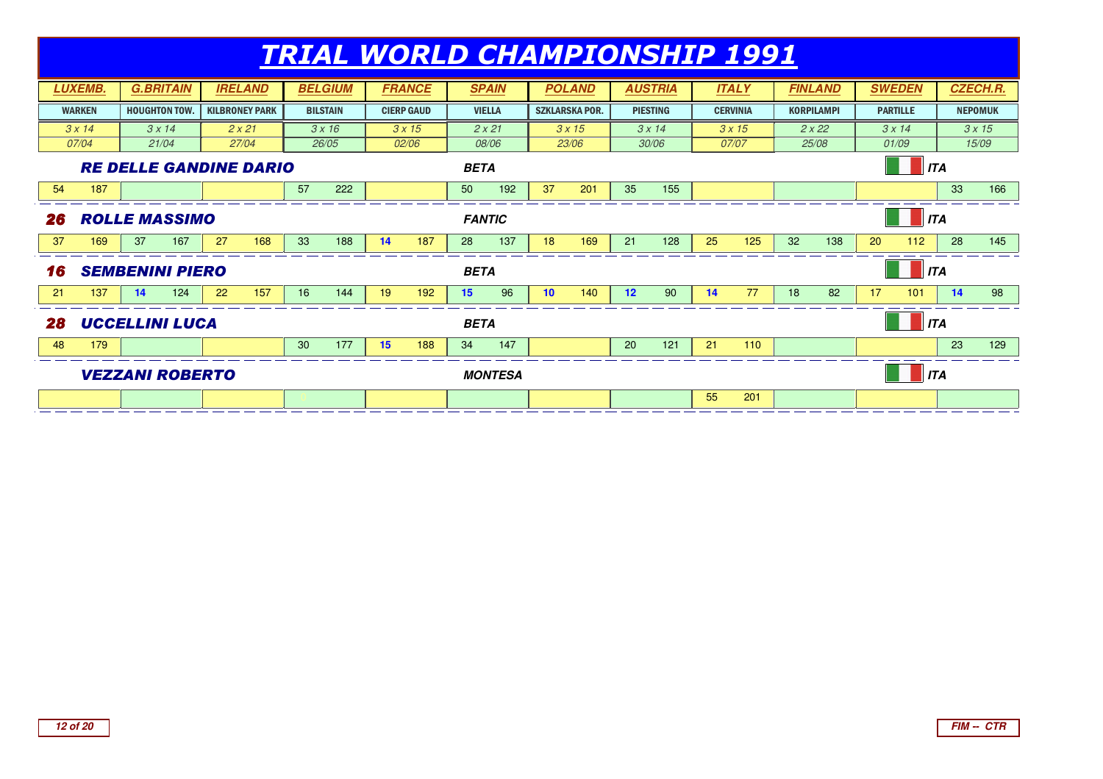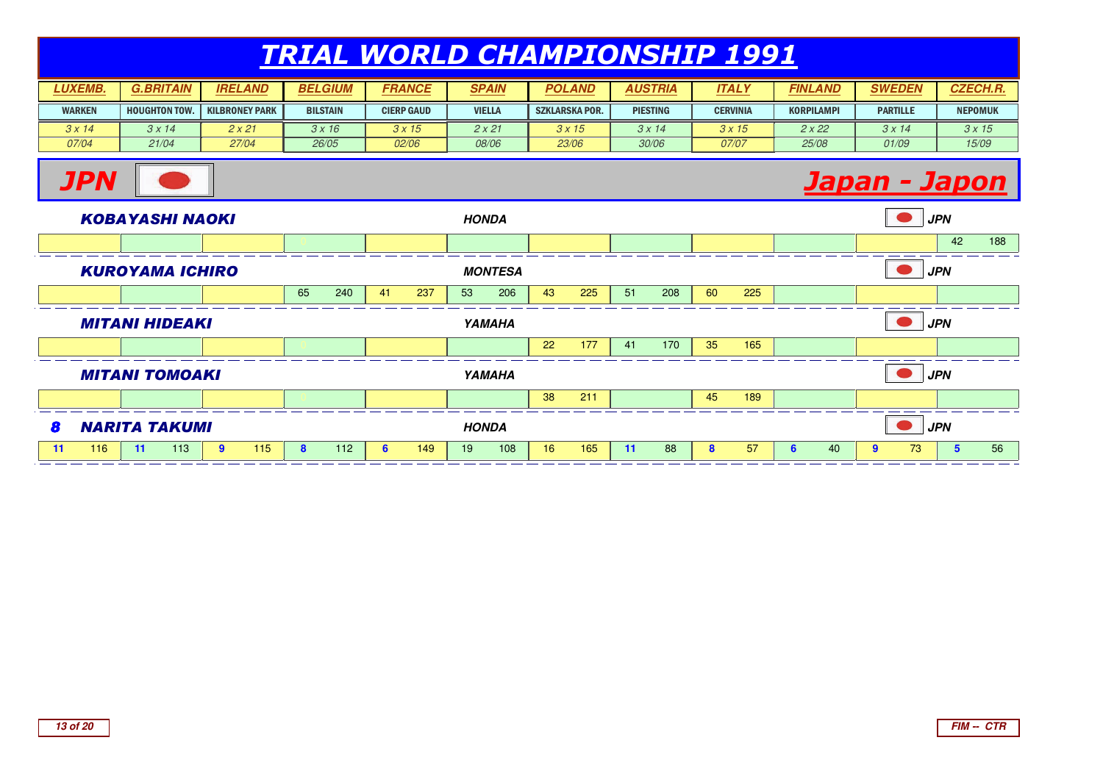| <b>.UXEMB.</b> | <b>G.BRITAIN</b>     | <b>IRELAND</b>        | <b>BELGIUM</b>  | <b>FRANCE</b>     | <b>SPAIN</b>  | <b>POLAND</b>         | AUSTRIA         | <b>ITALY</b>    | FINLAND             | SWEDEN          | <b>CZECH.R.</b> |
|----------------|----------------------|-----------------------|-----------------|-------------------|---------------|-----------------------|-----------------|-----------------|---------------------|-----------------|-----------------|
| <b>WARKEN</b>  | <b>HOUGHTON TOW.</b> | <b>KILBRONEY PARK</b> | <b>BILSTAIN</b> | <b>CIERP GAUD</b> | <b>VIELLA</b> | <b>SZKLARSKA POR.</b> | <b>PIESTING</b> | <b>CERVINIA</b> | <b>KORPILAMPI</b>   | <b>PARTILLE</b> | <b>NEPOMUK</b>  |
| 3 x 14         | $3 \times 14$        | 2x21                  | 3 x 16          | 3x15              | 2x21          | 3 x 15                | 3 x 14          | 3 x 15          | 2x22                | 3x14            | 3x15            |
| 07/04          | 21/04                | 27/04                 | 26/05           | 02/06             | 08/06         | 23/06                 | 30/06           | 07/07           | <i><b>25/08</b></i> | 01/09           | 15/09           |



**JPN**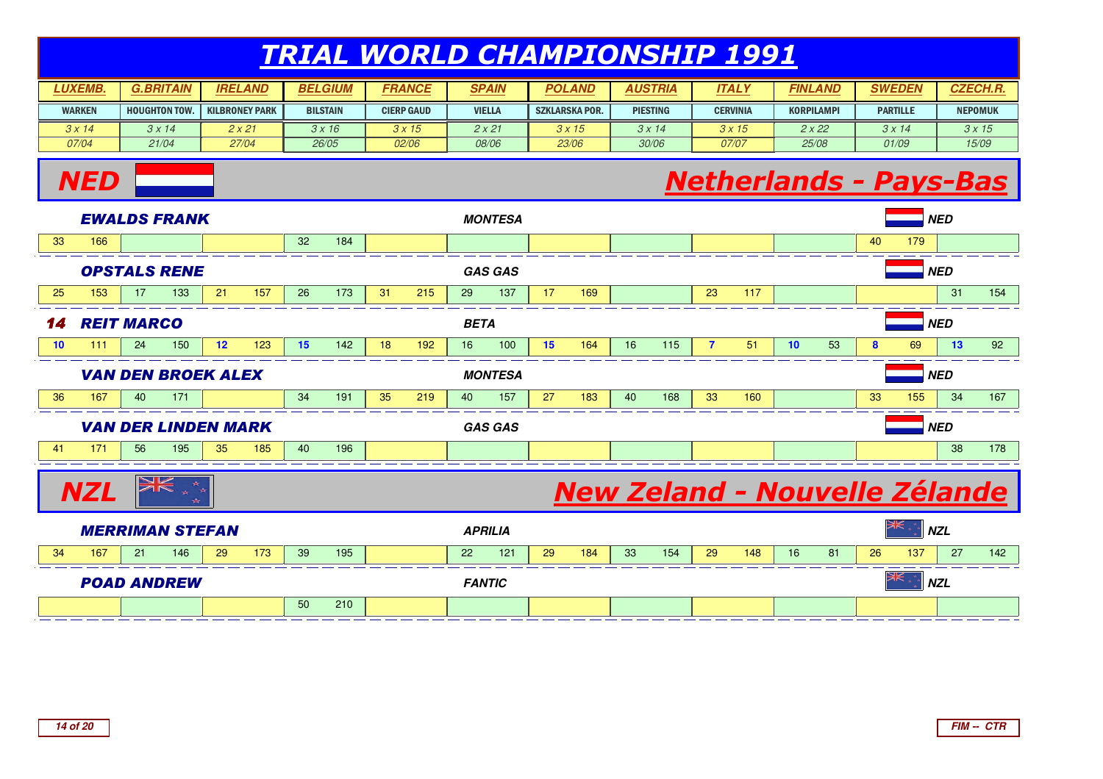| <b>.UXEMB.</b> | <b>G.BRITAIN</b>     | <i><b>IRELAND</b></i> | <b>BELGIUM</b>  | FRANCE     | <b>SPAIN</b>  | POLAND         | <b>AUSTRIA</b>  | ITALY           | <b>FINLAND</b>      | SWEDEN          | <b>CZECH.R.</b> |
|----------------|----------------------|-----------------------|-----------------|------------|---------------|----------------|-----------------|-----------------|---------------------|-----------------|-----------------|
| <b>WARKEN</b>  | <b>HOUGHTON TOW.</b> | <b>KILBRONEY PARK</b> | <b>BILSTAIN</b> | CIERP GAUD | <b>VIELLA</b> | SZKLARSKA POR. | <b>PIESTING</b> | <b>CERVINIA</b> | <b>KORPILAMPI</b>   | <b>PARTILLE</b> | <b>NEPOMUK</b>  |
| 3 x 14         | 3 x 14               | 2x21                  | 3 x 16          | 3 x 15     | 2 x 21        | 3 x 15         | 3 x 14          | 3x15            | 2 x 22              | 3x14            | 3x15            |
| 07/04          | 21/04                | 27/04                 | 26/05           | 02/06      | 08/06         | 23/06          | 30/06           | 07/07           | <i><b>25/08</b></i> | 01/09           | 15/09           |

#### Netherlands - Pays-Bas



**NED**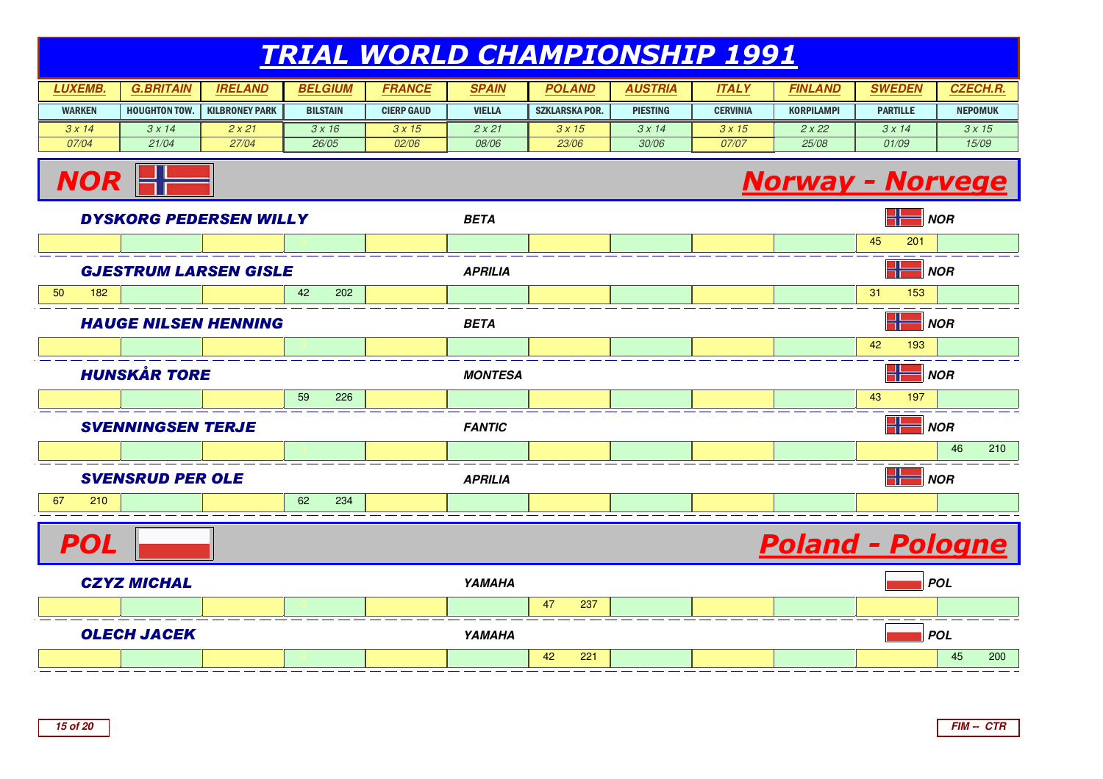| .UXEMB.       | <b>G.BRITAIN</b>     | <b>IRELAND</b>        | <b>BELGIUM</b>  | FRANCE            | <b>SPAIN</b> | <b>POLAND</b>         | AUSTRIA         | ITALY           | <i><b>FINLAND</b></i> | <b>SWEDEN</b>   | <b>CZECH.R.</b> |
|---------------|----------------------|-----------------------|-----------------|-------------------|--------------|-----------------------|-----------------|-----------------|-----------------------|-----------------|-----------------|
| <b>WARKEN</b> | <b>HOUGHTON TOW.</b> | <b>KILBRONEY PARK</b> | <b>BILSTAIN</b> | <b>CIERP GAUD</b> | VIELLA       | <b>SZKLARSKA POR.</b> | <b>PIESTING</b> | <b>CERVINIA</b> | <b>KORPILAMPI</b>     | <b>PARTILLE</b> | <b>NEPOMUK</b>  |
| 3 x 14/       | 3x14                 | 2x21                  | 3x16            | 3x15              | 2 x 21       | 3 x 15                | 3 x 14          | 3 x 15          | 2 x 22                | 3 x 14          | 3 x 15          |
| <i>07/04</i>  | 21/04                | 27/04                 | 26/05           | 02/06             | 08/06        | 23/06                 | 30/06           | 07/07           | 25/08                 | 01/09           | 15/09           |

# Norway - Norvege



NOR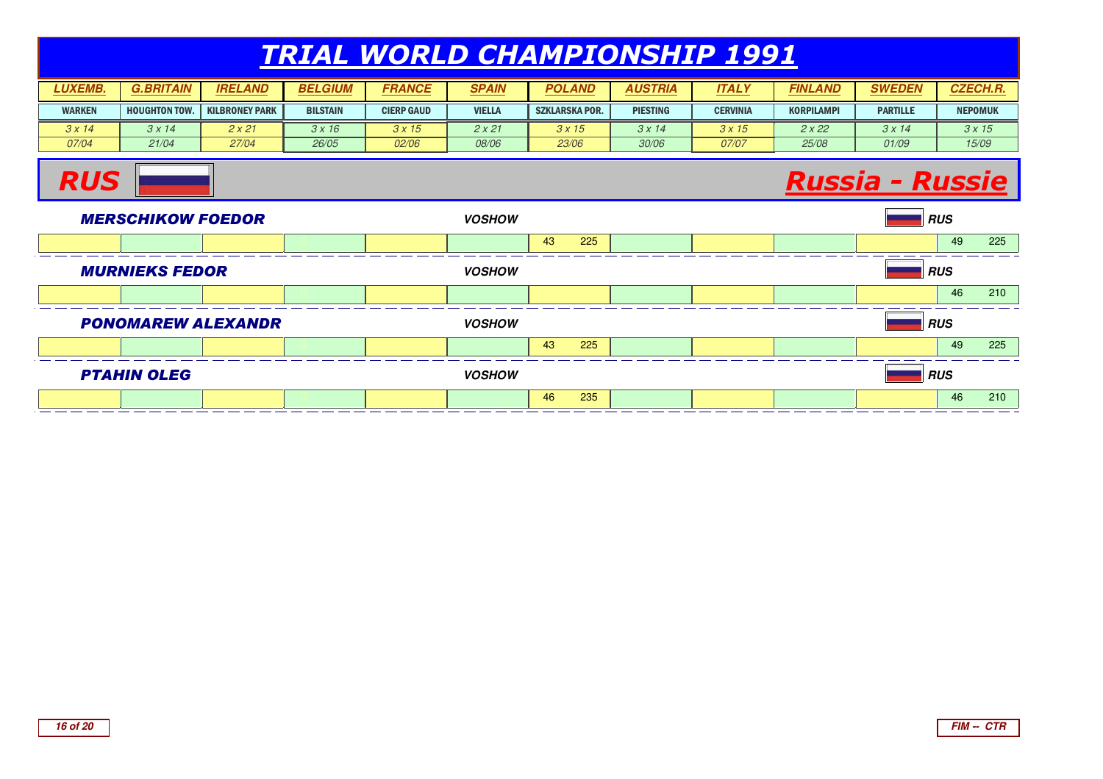| <b>UXEMB.</b> | <b>G.BRITAIN</b>     | <b>IRELAND</b>        | <b>BELGIUM</b>  | <b>FRANCE</b>     | <b>SPAIN</b>  | POLAND                | AUSTRIA         | ITALY           | <b>FINLAND</b>      | <b>SWEDEN</b>   | <b>CZECH.R.</b> |
|---------------|----------------------|-----------------------|-----------------|-------------------|---------------|-----------------------|-----------------|-----------------|---------------------|-----------------|-----------------|
| <b>WARKEN</b> | <b>HOUGHTON TOW.</b> | <b>KILBRONEY PARK</b> | <b>BILSTAIN</b> | <b>CIERP GAUD</b> | <b>VIELLA</b> | <b>SZKLARSKA POR.</b> | <b>PIESTING</b> | <b>CERVINIA</b> | <b>KORPILAMPI</b>   | <b>PARTILLE</b> | <b>NEPOMUK</b>  |
| 3 x 14        | 3 x 14               | 2x21                  | 3x16            | 3 x 15            | 2 x 21        | 3 x 15                | 3 x 14          | 3 x 15          | 2 x 22              | 3x14            | 3x15            |
| 07/04         | 21/04                | 27/04                 | 26/05           | <i>02/06</i>      | 08/06         | 23/06                 | 30/06           | 07/07           | <i><b>25/08</b></i> | 01/09           | 15/09           |

### Russia - Russie



RUS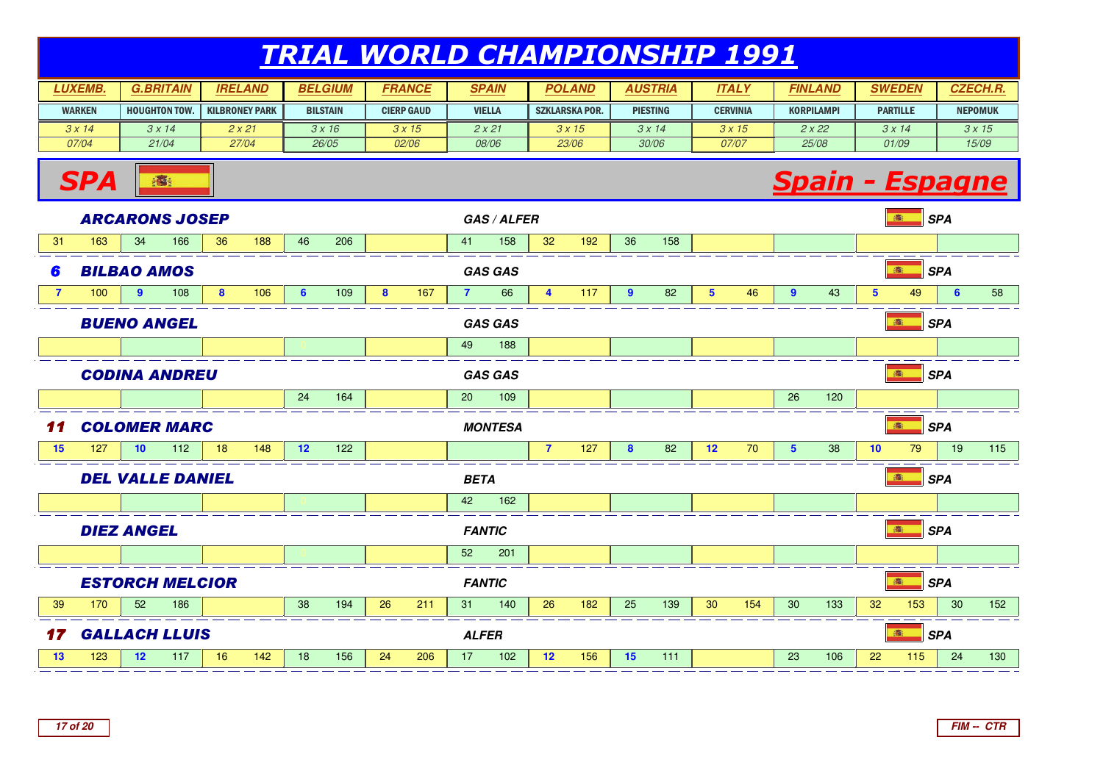#### TRIAL WORLD CHAMPIONSHIP 1991**LUXEMB. G.BRITAIN IRELAND BELGIUM FRANCE** WARKEN3 x 14 07/04HOUGHTON TOW. KILBRONEY PARK BILSTAIN CIERP GAUD **SPAIN POLAND AUSTRIA ITALY FINLAND** VIELLASZKLARSKA POR. PIESTING CERVINIA KORPILAMPI 3 x 14 21/042 x 21 27/04 $3 \times 16$  26/05 $3 \times 15$  02/06 $2 \times 21$  08/063 x 15 23/06 $3 \times 14$  30/06 $3 \times 15$  07/07 $2 x 22$  25/08**SWEDEN**PARTILLE $3 \times 14$  01/09**CZECH.R.**NEPOMUK3 x 15 15/09SPA**Spain - Espagne** ARCARONS JOSEP **GAS / ALFER SPA** 311 163 | 34 166 | 36 188 | 46 206 | | 41 158 | 32 192 | 36 158 | | | | 6 BILBAO AMOS **GAS GAS SPA 7** <sup>100</sup> **<sup>9</sup>** <sup>108</sup> **<sup>8</sup>** <sup>106</sup> **<sup>6</sup>** <sup>109</sup> **<sup>8</sup>** <sup>167</sup> **<sup>7</sup>** <sup>66</sup> **<sup>4</sup>** <sup>117</sup> **<sup>9</sup>** <sup>82</sup> **<sup>5</sup>** <sup>46</sup> **<sup>9</sup>** <sup>43</sup> **<sup>5</sup>** <sup>49</sup> **<sup>6</sup>** <sup>58</sup> BUENO ANGEL **GAS GAS SPA** <sup>0</sup> <sup>0</sup> <sup>0</sup> <sup>0</sup> <sup>49</sup> <sup>188</sup> <sup>0</sup> <sup>0</sup> <sup>0</sup> <sup>0</sup> <sup>0</sup> <sup>0</sup> CODINA ANDREU **GAS GAS SPA** 0 0 26 120 | 24 164 | 20 109 | 20 | 20 | 20 | 20 | 26 120 | 26 | 20 11 COLOMER MARC **MONTESA SPA 15** <sup>127</sup> **<sup>10</sup>** <sup>112</sup> <sup>18</sup> <sup>148</sup> **<sup>12</sup>** <sup>122</sup> <sup>0</sup> <sup>0</sup> **<sup>7</sup>** <sup>127</sup> **<sup>8</sup>** <sup>82</sup> **<sup>12</sup>** <sup>70</sup> **<sup>5</sup>** <sup>38</sup> **<sup>10</sup>** <sup>79</sup> <sup>19</sup> <sup>115</sup> DEL VALLE DANIEL<u>**BETA** BETA SPA</u> <sup>0</sup> <sup>0</sup> <sup>0</sup> <sup>0</sup> <sup>42</sup> <sup>162</sup> <sup>0</sup> <sup>0</sup> <sup>0</sup> <sup>0</sup> <sup>0</sup> <sup>0</sup> DIEZ ANGEL **FANTIC SPA** <sup>0</sup> <sup>0</sup> <sup>0</sup> <sup>0</sup> <sup>52</sup> <sup>201</sup> <sup>0</sup> <sup>0</sup> <sup>0</sup> <sup>0</sup> <sup>0</sup> <sup>0</sup> ESTORCH MELCIOR **FANTIC SPA** 39

| 39 | 170                                  | -52 | 186 <sup>°</sup> |    |     | -38 | 194 | -26 | -211 | -31 | 140. | 26 | 182        | -25 | 139 | -30 | 154 | 30 | 133 | -32 | 153 | <b>30</b> | 152 |
|----|--------------------------------------|-----|------------------|----|-----|-----|-----|-----|------|-----|------|----|------------|-----|-----|-----|-----|----|-----|-----|-----|-----------|-----|
| 17 | <b>GALLACH LLUIS</b><br><i>ALFER</i> |     |                  |    |     |     |     |     |      |     |      |    | <b>SPA</b> |     |     |     |     |    |     |     |     |           |     |
| 13 | 123                                  |     | 117              | 16 | 142 | 18  | 156 | 24  | 206  | 17  | 102  | 12 | 156        | 15  | 111 |     |     | 23 | 106 | 22  | 115 | 24        | 130 |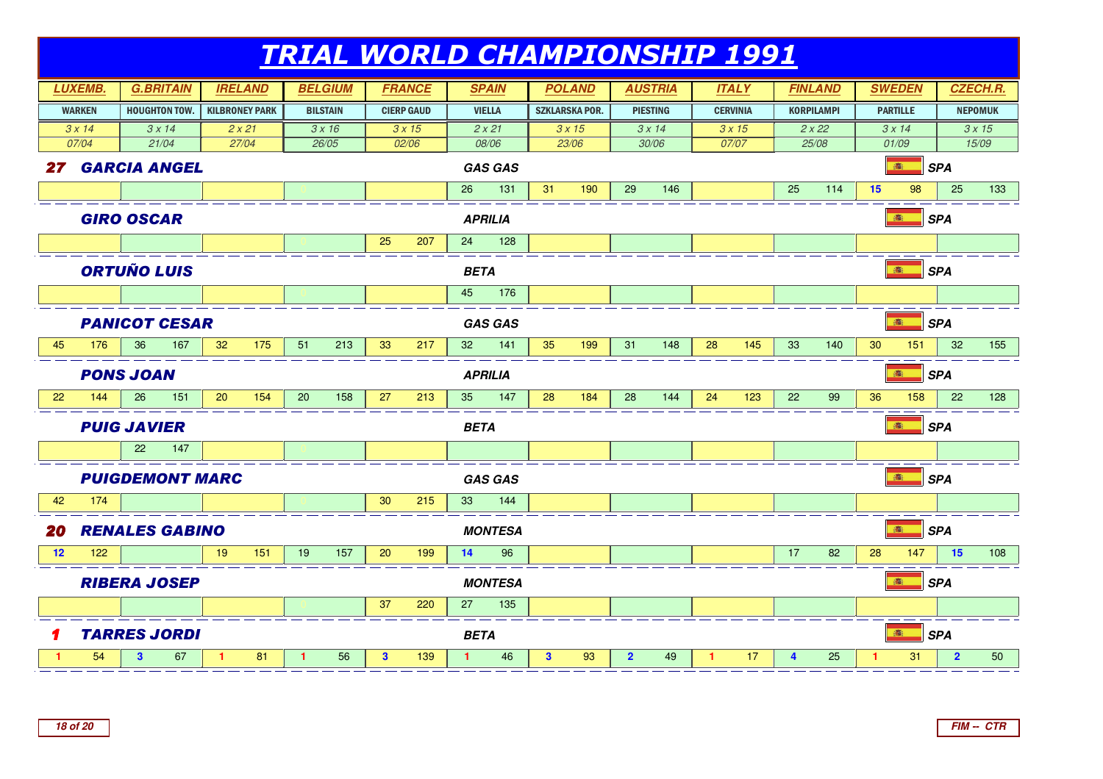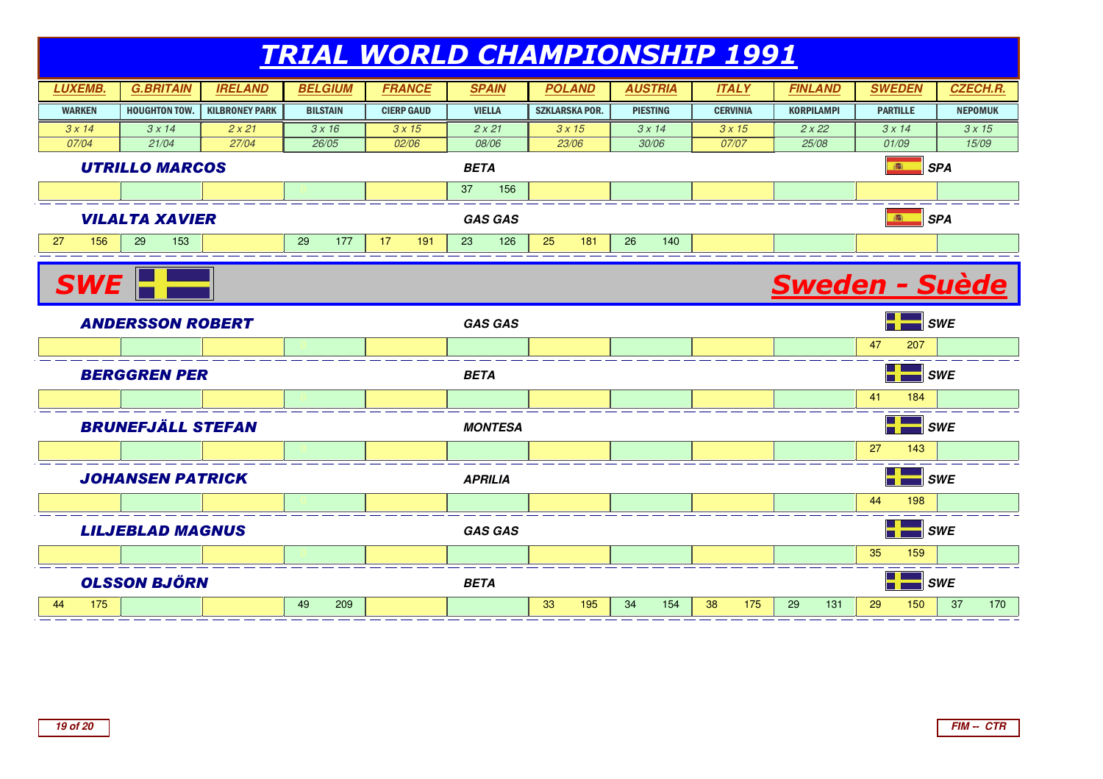